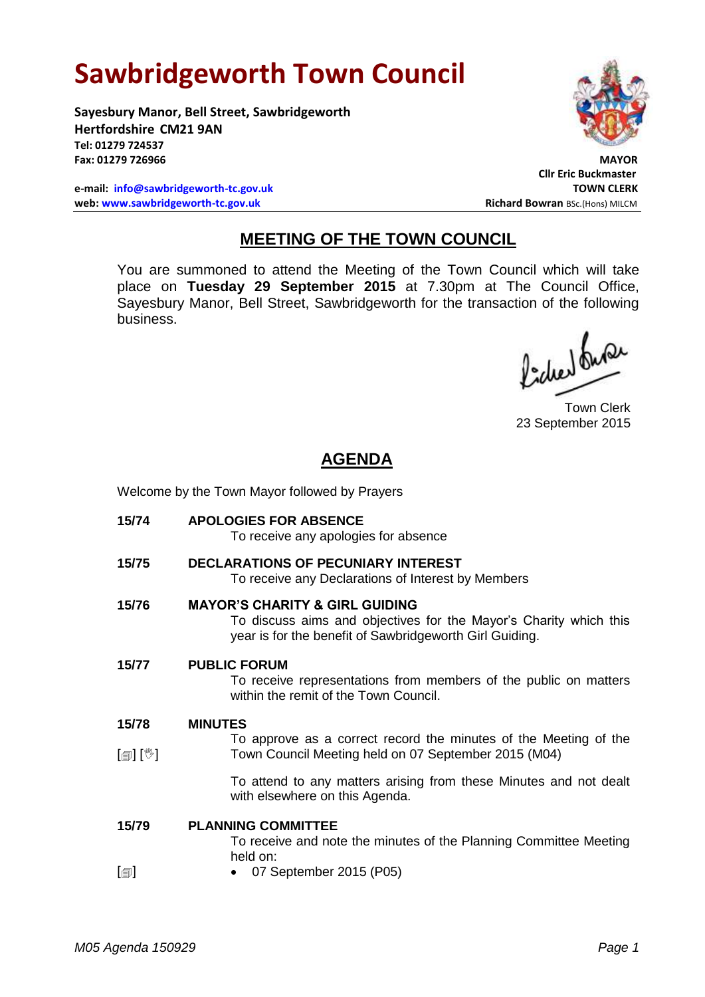## **Sawbridgeworth Town Council**

**Sayesbury Manor, Bell Street, Sawbridgeworth Hertfordshire CM21 9AN Tel: 01279 724537** Fax: 01279 726966

**e-mail: [info@sawbridgeworth-tc.gov.uk](mailto:info@sawbridgeworth-tc.gov.uk) TOWN CLERK web: www.sawbridgeworth-tc.gov.uk Richard Bowran BSc.(Hons) MILCM Richard Bowran BSc.(Hons) MILCM** 



**Cllr Eric Buckmaster**

## **MEETING OF THE TOWN COUNCIL**

You are summoned to attend the Meeting of the Town Council which will take place on **Tuesday 29 September 2015** at 7.30pm at The Council Office, Sayesbury Manor, Bell Street, Sawbridgeworth for the transaction of the following business.

fided busi

Town Clerk 23 September 2015

## **AGENDA**

Welcome by the Town Mayor followed by Prayers

**15/74 APOLOGIES FOR ABSENCE** To receive any apologies for absence **15/75 DECLARATIONS OF PECUNIARY INTEREST** To receive any Declarations of Interest by Members **15/76 MAYOR'S CHARITY & GIRL GUIDING** To discuss aims and objectives for the Mayor's Charity which this year is for the benefit of Sawbridgeworth Girl Guiding. **15/77 PUBLIC FORUM** To receive representations from members of the public on matters within the remit of the Town Council. **15/78**  $\lceil$  [ $\parallel$   $\parallel$   $\parallel$ **MINUTES** To approve as a correct record the minutes of the Meeting of the Town Council Meeting held on 07 September 2015 (M04) To attend to any matters arising from these Minutes and not dealt with elsewhere on this Agenda. **15/79**  $\Box$ **PLANNING COMMITTEE** To receive and note the minutes of the Planning Committee Meeting held on: 07 September 2015 (P05)